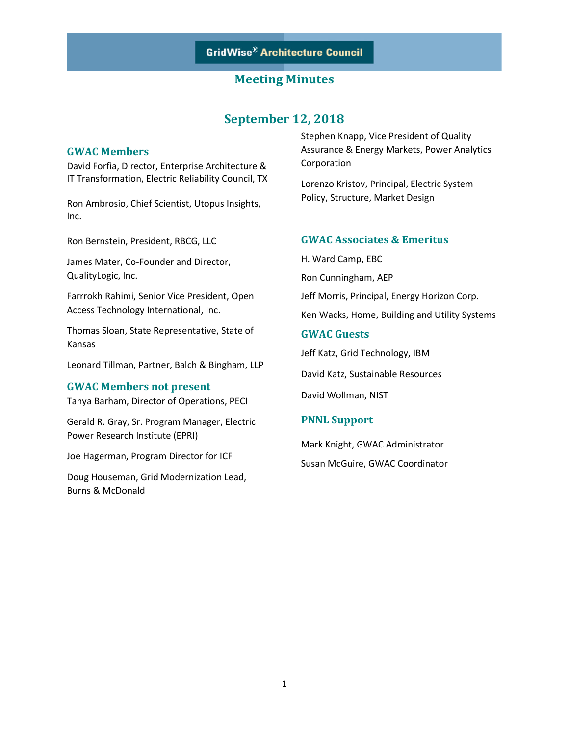## **September 12, 2018**

#### **GWAC Members**

David Forfia, Director, Enterprise Architecture & IT Transformation, Electric Reliability Council, TX

Ron Ambrosio, Chief Scientist, Utopus Insights, Inc.

Ron Bernstein, President, RBCG, LLC

James Mater, Co-Founder and Director, QualityLogic, Inc.

Farrrokh Rahimi, Senior Vice President, Open Access Technology International, Inc.

Thomas Sloan, State Representative, State of Kansas

Leonard Tillman, Partner, Balch & Bingham, LLP

#### **GWAC Members not present**

Tanya Barham, Director of Operations, PECI

Gerald R. Gray, Sr. Program Manager, Electric Power Research Institute (EPRI)

Joe Hagerman, Program Director for ICF

Doug Houseman, Grid Modernization Lead, Burns & McDonald

Stephen Knapp, Vice President of Quality Assurance & Energy Markets, Power Analytics Corporation

Lorenzo Kristov, Principal, Electric System Policy, Structure, Market Design

#### **GWAC Associates & Emeritus**

H. Ward Camp, EBC

Ron Cunningham, AEP

Jeff Morris, Principal, Energy Horizon Corp.

Ken Wacks, Home, Building and Utility Systems

#### **GWAC Guests**

Jeff Katz, Grid Technology, IBM

David Katz, Sustainable Resources

David Wollman, NIST

#### **PNNL Support**

Mark Knight, GWAC Administrator Susan McGuire, GWAC Coordinator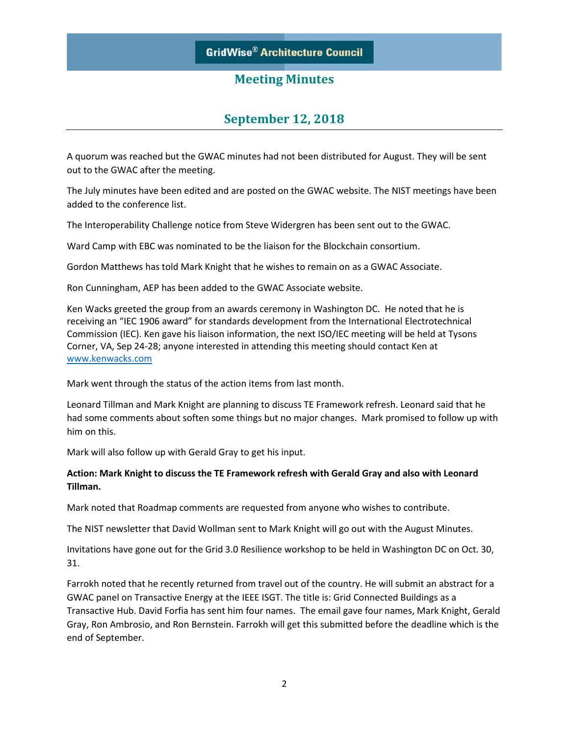# **September 12, 2018**

A quorum was reached but the GWAC minutes had not been distributed for August. They will be sent out to the GWAC after the meeting.

The July minutes have been edited and are posted on the GWAC website. The NIST meetings have been added to the conference list.

The Interoperability Challenge notice from Steve Widergren has been sent out to the GWAC.

Ward Camp with EBC was nominated to be the liaison for the Blockchain consortium.

Gordon Matthews has told Mark Knight that he wishes to remain on as a GWAC Associate.

Ron Cunningham, AEP has been added to the GWAC Associate website.

Ken Wacks greeted the group from an awards ceremony in Washington DC. He noted that he is receiving an "IEC 1906 award" for standards development from the International Electrotechnical Commission (IEC). Ken gave his liaison information, the next ISO/IEC meeting will be held at Tysons Corner, VA, Sep 24-28; anyone interested in attending this meeting should contact Ken at [www.kenwacks.com](http://www.kenwacks.com/)

Mark went through the status of the action items from last month.

Leonard Tillman and Mark Knight are planning to discuss TE Framework refresh. Leonard said that he had some comments about soften some things but no major changes. Mark promised to follow up with him on this.

Mark will also follow up with Gerald Gray to get his input.

#### **Action: Mark Knight to discuss the TE Framework refresh with Gerald Gray and also with Leonard Tillman.**

Mark noted that Roadmap comments are requested from anyone who wishes to contribute.

The NIST newsletter that David Wollman sent to Mark Knight will go out with the August Minutes.

Invitations have gone out for the Grid 3.0 Resilience workshop to be held in Washington DC on Oct. 30, 31.

Farrokh noted that he recently returned from travel out of the country. He will submit an abstract for a GWAC panel on Transactive Energy at the IEEE ISGT. The title is: Grid Connected Buildings as a Transactive Hub. David Forfia has sent him four names. The email gave four names, Mark Knight, Gerald Gray, Ron Ambrosio, and Ron Bernstein. Farrokh will get this submitted before the deadline which is the end of September.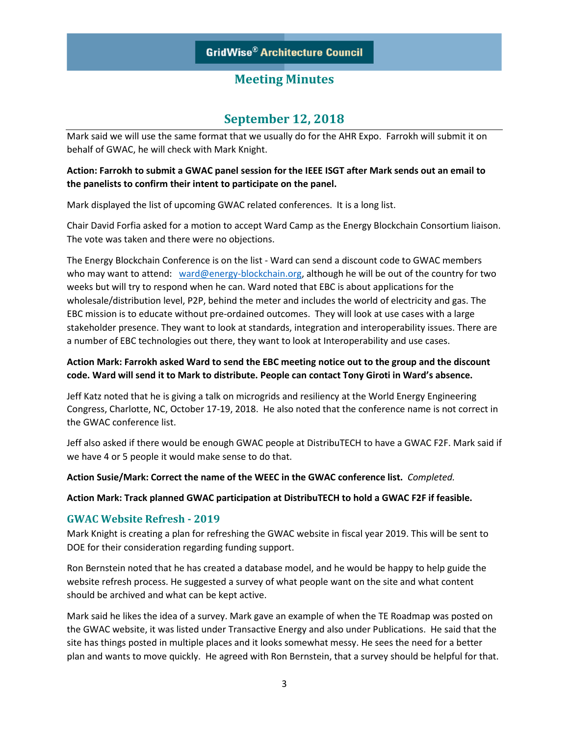## **September 12, 2018**

Mark said we will use the same format that we usually do for the AHR Expo. Farrokh will submit it on behalf of GWAC, he will check with Mark Knight.

#### **Action: Farrokh to submit a GWAC panel session for the IEEE ISGT after Mark sends out an email to the panelists to confirm their intent to participate on the panel.**

Mark displayed the list of upcoming GWAC related conferences. It is a long list.

Chair David Forfia asked for a motion to accept Ward Camp as the Energy Blockchain Consortium liaison. The vote was taken and there were no objections.

The Energy Blockchain Conference is on the list - Ward can send a discount code to GWAC members who may want to attend: [ward@energy-blockchain.org,](mailto:ward@energy-blockchain.org) although he will be out of the country for two weeks but will try to respond when he can. Ward noted that EBC is about applications for the wholesale/distribution level, P2P, behind the meter and includes the world of electricity and gas. The EBC mission is to educate without pre-ordained outcomes. They will look at use cases with a large stakeholder presence. They want to look at standards, integration and interoperability issues. There are a number of EBC technologies out there, they want to look at Interoperability and use cases.

#### **Action Mark: Farrokh asked Ward to send the EBC meeting notice out to the group and the discount code. Ward will send it to Mark to distribute. People can contact Tony Giroti in Ward's absence.**

Jeff Katz noted that he is giving a talk on microgrids and resiliency at the World Energy Engineering Congress, Charlotte, NC, October 17-19, 2018. He also noted that the conference name is not correct in the GWAC conference list.

Jeff also asked if there would be enough GWAC people at DistribuTECH to have a GWAC F2F. Mark said if we have 4 or 5 people it would make sense to do that.

#### **Action Susie/Mark: Correct the name of the WEEC in the GWAC conference list.** *Completed.*

#### **Action Mark: Track planned GWAC participation at DistribuTECH to hold a GWAC F2F if feasible.**

#### **GWAC Website Refresh - 2019**

Mark Knight is creating a plan for refreshing the GWAC website in fiscal year 2019. This will be sent to DOE for their consideration regarding funding support.

Ron Bernstein noted that he has created a database model, and he would be happy to help guide the website refresh process. He suggested a survey of what people want on the site and what content should be archived and what can be kept active.

Mark said he likes the idea of a survey. Mark gave an example of when the TE Roadmap was posted on the GWAC website, it was listed under Transactive Energy and also under Publications. He said that the site has things posted in multiple places and it looks somewhat messy. He sees the need for a better plan and wants to move quickly. He agreed with Ron Bernstein, that a survey should be helpful for that.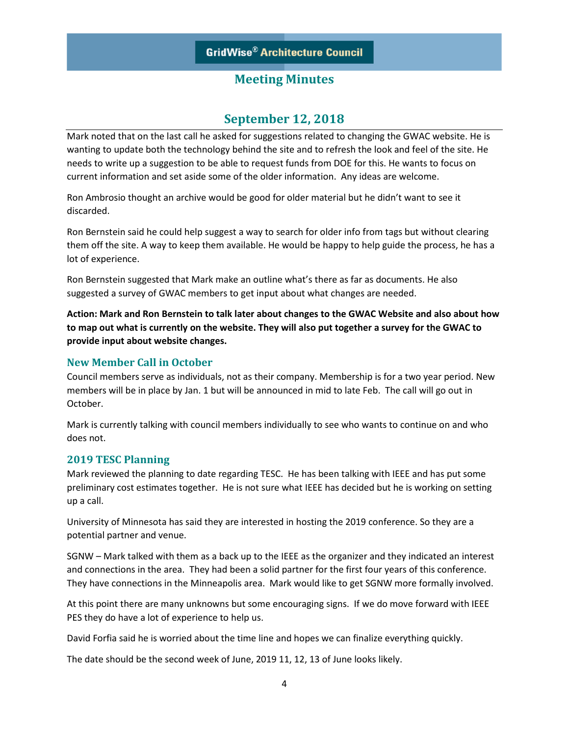### **September 12, 2018**

Mark noted that on the last call he asked for suggestions related to changing the GWAC website. He is wanting to update both the technology behind the site and to refresh the look and feel of the site. He needs to write up a suggestion to be able to request funds from DOE for this. He wants to focus on current information and set aside some of the older information. Any ideas are welcome.

Ron Ambrosio thought an archive would be good for older material but he didn't want to see it discarded.

Ron Bernstein said he could help suggest a way to search for older info from tags but without clearing them off the site. A way to keep them available. He would be happy to help guide the process, he has a lot of experience.

Ron Bernstein suggested that Mark make an outline what's there as far as documents. He also suggested a survey of GWAC members to get input about what changes are needed.

**Action: Mark and Ron Bernstein to talk later about changes to the GWAC Website and also about how to map out what is currently on the website. They will also put together a survey for the GWAC to provide input about website changes.**

#### **New Member Call in October**

Council members serve as individuals, not as their company. Membership is for a two year period. New members will be in place by Jan. 1 but will be announced in mid to late Feb. The call will go out in October.

Mark is currently talking with council members individually to see who wants to continue on and who does not.

#### **2019 TESC Planning**

Mark reviewed the planning to date regarding TESC. He has been talking with IEEE and has put some preliminary cost estimates together. He is not sure what IEEE has decided but he is working on setting up a call.

University of Minnesota has said they are interested in hosting the 2019 conference. So they are a potential partner and venue.

SGNW – Mark talked with them as a back up to the IEEE as the organizer and they indicated an interest and connections in the area. They had been a solid partner for the first four years of this conference. They have connections in the Minneapolis area. Mark would like to get SGNW more formally involved.

At this point there are many unknowns but some encouraging signs. If we do move forward with IEEE PES they do have a lot of experience to help us.

David Forfia said he is worried about the time line and hopes we can finalize everything quickly.

The date should be the second week of June, 2019 11, 12, 13 of June looks likely.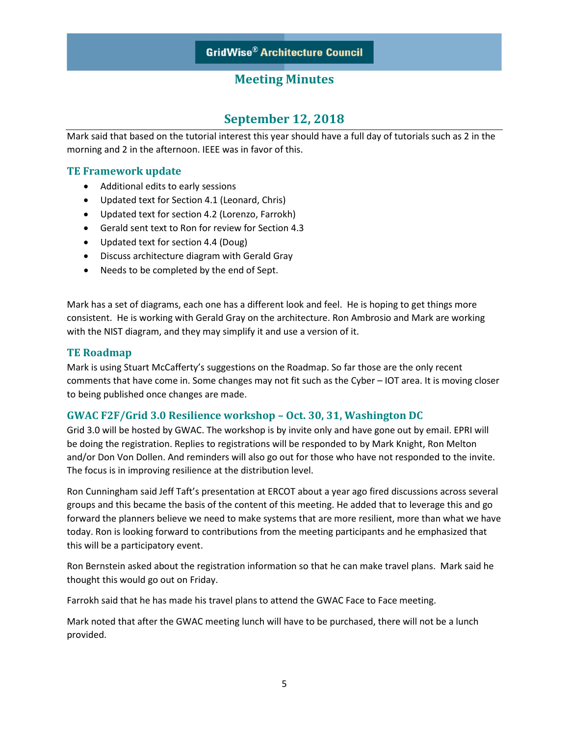## **September 12, 2018**

Mark said that based on the tutorial interest this year should have a full day of tutorials such as 2 in the morning and 2 in the afternoon. IEEE was in favor of this.

#### **TE Framework update**

- Additional edits to early sessions
- Updated text for Section 4.1 (Leonard, Chris)
- Updated text for section 4.2 (Lorenzo, Farrokh)
- Gerald sent text to Ron for review for Section 4.3
- Updated text for section 4.4 (Doug)
- Discuss architecture diagram with Gerald Gray
- Needs to be completed by the end of Sept.

Mark has a set of diagrams, each one has a different look and feel. He is hoping to get things more consistent. He is working with Gerald Gray on the architecture. Ron Ambrosio and Mark are working with the NIST diagram, and they may simplify it and use a version of it.

#### **TE Roadmap**

Mark is using Stuart McCafferty's suggestions on the Roadmap. So far those are the only recent comments that have come in. Some changes may not fit such as the Cyber – IOT area. It is moving closer to being published once changes are made.

#### **GWAC F2F/Grid 3.0 Resilience workshop – Oct. 30, 31, Washington DC**

Grid 3.0 will be hosted by GWAC. The workshop is by invite only and have gone out by email. EPRI will be doing the registration. Replies to registrations will be responded to by Mark Knight, Ron Melton and/or Don Von Dollen. And reminders will also go out for those who have not responded to the invite. The focus is in improving resilience at the distribution level.

Ron Cunningham said Jeff Taft's presentation at ERCOT about a year ago fired discussions across several groups and this became the basis of the content of this meeting. He added that to leverage this and go forward the planners believe we need to make systems that are more resilient, more than what we have today. Ron is looking forward to contributions from the meeting participants and he emphasized that this will be a participatory event.

Ron Bernstein asked about the registration information so that he can make travel plans. Mark said he thought this would go out on Friday.

Farrokh said that he has made his travel plans to attend the GWAC Face to Face meeting.

Mark noted that after the GWAC meeting lunch will have to be purchased, there will not be a lunch provided.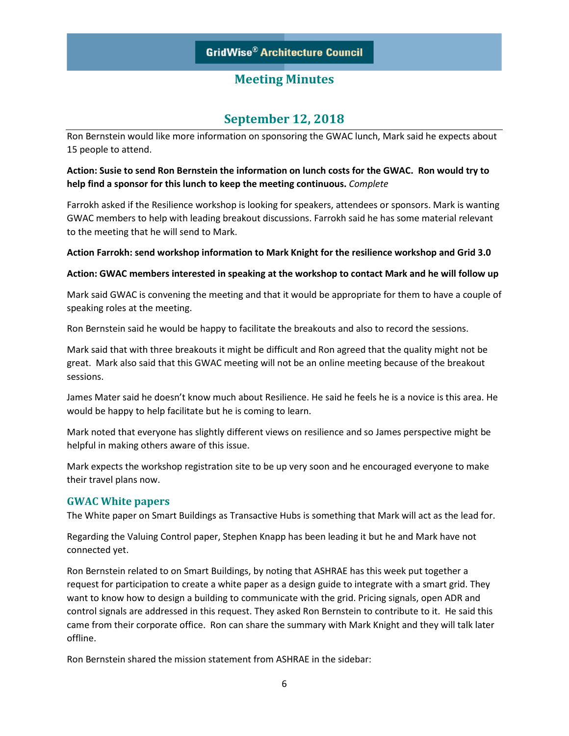## **September 12, 2018**

Ron Bernstein would like more information on sponsoring the GWAC lunch, Mark said he expects about 15 people to attend.

#### **Action: Susie to send Ron Bernstein the information on lunch costs for the GWAC. Ron would try to help find a sponsor for this lunch to keep the meeting continuous.** *Complete*

Farrokh asked if the Resilience workshop is looking for speakers, attendees or sponsors. Mark is wanting GWAC members to help with leading breakout discussions. Farrokh said he has some material relevant to the meeting that he will send to Mark.

#### **Action Farrokh: send workshop information to Mark Knight for the resilience workshop and Grid 3.0**

#### **Action: GWAC members interested in speaking at the workshop to contact Mark and he will follow up**

Mark said GWAC is convening the meeting and that it would be appropriate for them to have a couple of speaking roles at the meeting.

Ron Bernstein said he would be happy to facilitate the breakouts and also to record the sessions.

Mark said that with three breakouts it might be difficult and Ron agreed that the quality might not be great. Mark also said that this GWAC meeting will not be an online meeting because of the breakout sessions.

James Mater said he doesn't know much about Resilience. He said he feels he is a novice is this area. He would be happy to help facilitate but he is coming to learn.

Mark noted that everyone has slightly different views on resilience and so James perspective might be helpful in making others aware of this issue.

Mark expects the workshop registration site to be up very soon and he encouraged everyone to make their travel plans now.

#### **GWAC White papers**

The White paper on Smart Buildings as Transactive Hubs is something that Mark will act as the lead for.

Regarding the Valuing Control paper, Stephen Knapp has been leading it but he and Mark have not connected yet.

Ron Bernstein related to on Smart Buildings, by noting that ASHRAE has this week put together a request for participation to create a white paper as a design guide to integrate with a smart grid. They want to know how to design a building to communicate with the grid. Pricing signals, open ADR and control signals are addressed in this request. They asked Ron Bernstein to contribute to it. He said this came from their corporate office. Ron can share the summary with Mark Knight and they will talk later offline.

Ron Bernstein shared the mission statement from ASHRAE in the sidebar: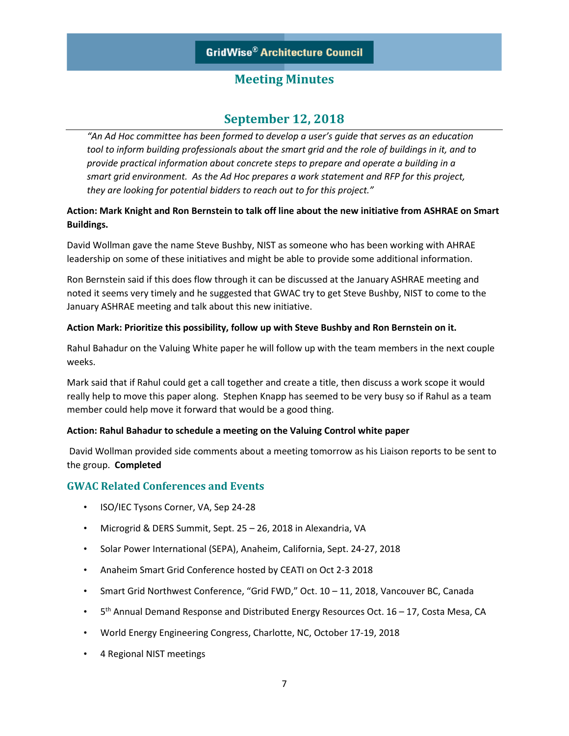## **September 12, 2018**

*"An Ad Hoc committee has been formed to develop a user's guide that serves as an education tool to inform building professionals about the smart grid and the role of buildings in it, and to provide practical information about concrete steps to prepare and operate a building in a smart grid environment. As the Ad Hoc prepares a work statement and RFP for this project, they are looking for potential bidders to reach out to for this project."*

#### **Action: Mark Knight and Ron Bernstein to talk off line about the new initiative from ASHRAE on Smart Buildings.**

David Wollman gave the name Steve Bushby, NIST as someone who has been working with AHRAE leadership on some of these initiatives and might be able to provide some additional information.

Ron Bernstein said if this does flow through it can be discussed at the January ASHRAE meeting and noted it seems very timely and he suggested that GWAC try to get Steve Bushby, NIST to come to the January ASHRAE meeting and talk about this new initiative.

#### **Action Mark: Prioritize this possibility, follow up with Steve Bushby and Ron Bernstein on it.**

Rahul Bahadur on the Valuing White paper he will follow up with the team members in the next couple weeks.

Mark said that if Rahul could get a call together and create a title, then discuss a work scope it would really help to move this paper along. Stephen Knapp has seemed to be very busy so if Rahul as a team member could help move it forward that would be a good thing.

#### **Action: Rahul Bahadur to schedule a meeting on the Valuing Control white paper**

David Wollman provided side comments about a meeting tomorrow as his Liaison reports to be sent to the group. **Completed**

#### **GWAC Related Conferences and Events**

- ISO/IEC Tysons Corner, VA, Sep 24-28
- Microgrid & DERS Summit, Sept. 25 26, 2018 in Alexandria, VA
- Solar Power International (SEPA), Anaheim, California, Sept. 24-27, 2018
- Anaheim Smart Grid Conference hosted by CEATI on Oct 2-3 2018
- Smart Grid Northwest Conference, "Grid FWD," Oct. 10 11, 2018, Vancouver BC, Canada
- 5<sup>th</sup> Annual Demand Response and Distributed Energy Resources Oct. 16 17, Costa Mesa, CA
- World Energy Engineering Congress, Charlotte, NC, October 17-19, 2018
- 4 Regional NIST meetings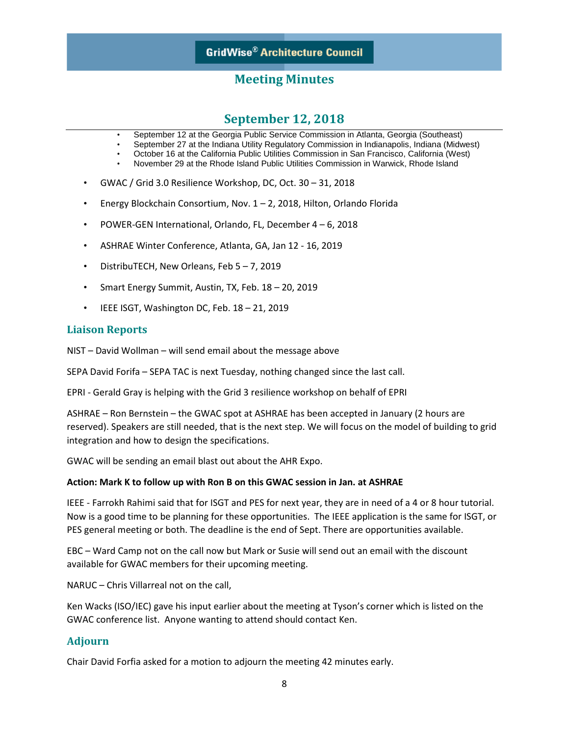# **September 12, 2018**

- September 12 at the Georgia Public Service Commission in Atlanta, Georgia (Southeast)
- September 27 at the Indiana Utility Regulatory Commission in Indianapolis, Indiana (Midwest)
- October 16 at the California Public Utilities Commission in San Francisco, California (West) • November 29 at the Rhode Island Public Utilities Commission in Warwick, Rhode Island
- GWAC / Grid 3.0 Resilience Workshop, DC, Oct. 30 31, 2018
- Energy Blockchain Consortium, Nov. 1 2, 2018, Hilton, Orlando Florida
- POWER-GEN International, Orlando, FL, December 4 6, 2018
- ASHRAE Winter Conference, Atlanta, GA, Jan 12 16, 2019
- DistribuTECH, New Orleans, Feb 5 7, 2019
- Smart Energy Summit, Austin, TX, Feb. 18 20, 2019
- IEEE ISGT, Washington DC, Feb. 18 21, 2019

#### **Liaison Reports**

NIST – David Wollman – will send email about the message above

SEPA David Forifa – SEPA TAC is next Tuesday, nothing changed since the last call.

EPRI - Gerald Gray is helping with the Grid 3 resilience workshop on behalf of EPRI

ASHRAE – Ron Bernstein – the GWAC spot at ASHRAE has been accepted in January (2 hours are reserved). Speakers are still needed, that is the next step. We will focus on the model of building to grid integration and how to design the specifications.

GWAC will be sending an email blast out about the AHR Expo.

#### **Action: Mark K to follow up with Ron B on this GWAC session in Jan. at ASHRAE**

IEEE - Farrokh Rahimi said that for ISGT and PES for next year, they are in need of a 4 or 8 hour tutorial. Now is a good time to be planning for these opportunities. The IEEE application is the same for ISGT, or PES general meeting or both. The deadline is the end of Sept. There are opportunities available.

EBC – Ward Camp not on the call now but Mark or Susie will send out an email with the discount available for GWAC members for their upcoming meeting.

NARUC – Chris Villarreal not on the call,

Ken Wacks (ISO/IEC) gave his input earlier about the meeting at Tyson's corner which is listed on the GWAC conference list. Anyone wanting to attend should contact Ken.

#### **Adjourn**

Chair David Forfia asked for a motion to adjourn the meeting 42 minutes early.